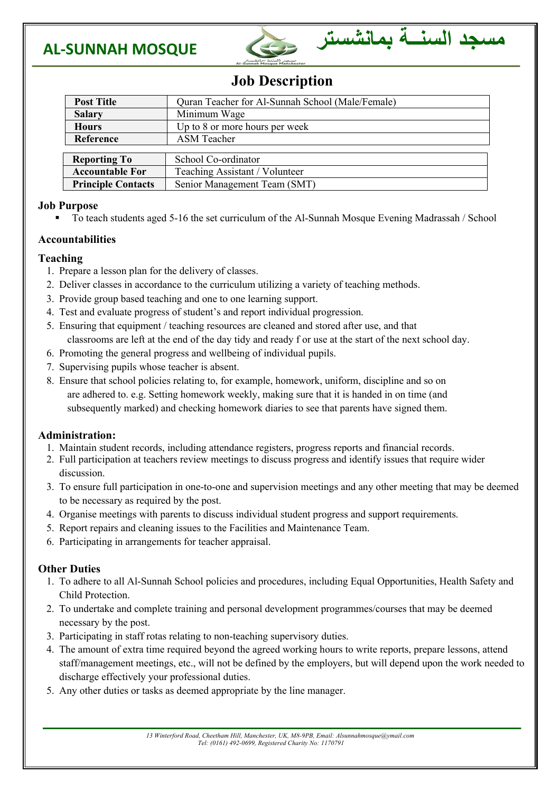



### **Job Description**

| <b>Post Title</b>         | Quran Teacher for Al-Sunnah School (Male/Female) |
|---------------------------|--------------------------------------------------|
| <b>Salary</b>             | Minimum Wage                                     |
| <b>Hours</b>              | Up to 8 or more hours per week                   |
| Reference                 | <b>ASM</b> Teacher                               |
|                           |                                                  |
| <b>Reporting To</b>       | School Co-ordinator                              |
| <b>Accountable For</b>    | Teaching Assistant / Volunteer                   |
| <b>Principle Contacts</b> | Senior Management Team (SMT)                     |

#### **Job Purpose**

§ To teach students aged 5-16 the set curriculum of the Al-Sunnah Mosque Evening Madrassah / School

#### **Accountabilities**

#### **Teaching**

- 1. Prepare a lesson plan for the delivery of classes.
- 2. Deliver classes in accordance to the curriculum utilizing a variety of teaching methods.
- 3. Provide group based teaching and one to one learning support.
- 4. Test and evaluate progress of student's and report individual progression.
- 5. Ensuring that equipment / teaching resources are cleaned and stored after use, and that classrooms are left at the end of the day tidy and ready f or use at the start of the next school day.
- 6. Promoting the general progress and wellbeing of individual pupils.
- 7. Supervising pupils whose teacher is absent.
- 8. Ensure that school policies relating to, for example, homework, uniform, discipline and so on are adhered to. e.g. Setting homework weekly, making sure that it is handed in on time (and subsequently marked) and checking homework diaries to see that parents have signed them.

#### **Administration:**

- 1. Maintain student records, including attendance registers, progress reports and financial records.
- 2. Full participation at teachers review meetings to discuss progress and identify issues that require wider discussion.
- 3. To ensure full participation in one-to-one and supervision meetings and any other meeting that may be deemed to be necessary as required by the post.
- 4. Organise meetings with parents to discuss individual student progress and support requirements.
- 5. Report repairs and cleaning issues to the Facilities and Maintenance Team.
- 6. Participating in arrangements for teacher appraisal.

#### **Other Duties**

- 1. To adhere to all Al-Sunnah School policies and procedures, including Equal Opportunities, Health Safety and Child Protection.
- 2. To undertake and complete training and personal development programmes/courses that may be deemed necessary by the post.
- 3. Participating in staff rotas relating to non-teaching supervisory duties.
- 4. The amount of extra time required beyond the agreed working hours to write reports, prepare lessons, attend staff/management meetings, etc., will not be defined by the employers, but will depend upon the work needed to discharge effectively your professional duties.
- 5. Any other duties or tasks as deemed appropriate by the line manager.